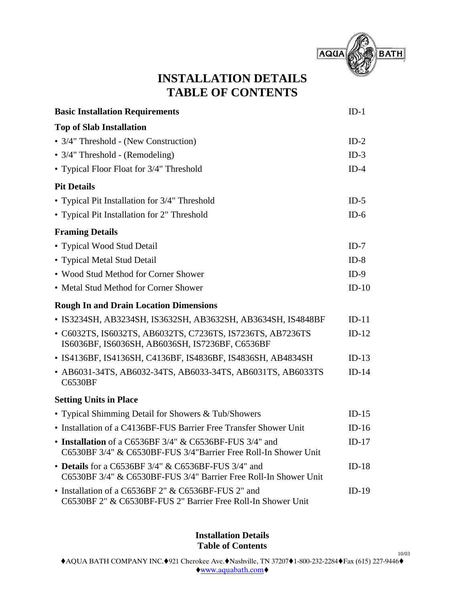

# **INSTALLATION DETAILS TABLE OF CONTENTS**

| <b>Basic Installation Requirements</b>                                                                                     | $ID-1$  |
|----------------------------------------------------------------------------------------------------------------------------|---------|
| <b>Top of Slab Installation</b>                                                                                            |         |
| • 3/4" Threshold - (New Construction)                                                                                      | $ID-2$  |
| • 3/4" Threshold - (Remodeling)                                                                                            | $ID-3$  |
| • Typical Floor Float for 3/4" Threshold                                                                                   | $ID-4$  |
| <b>Pit Details</b>                                                                                                         |         |
| • Typical Pit Installation for 3/4" Threshold                                                                              | $ID-5$  |
| • Typical Pit Installation for 2" Threshold                                                                                | $ID-6$  |
| <b>Framing Details</b>                                                                                                     |         |
| • Typical Wood Stud Detail                                                                                                 | $ID-7$  |
| • Typical Metal Stud Detail                                                                                                | $ID-8$  |
| • Wood Stud Method for Corner Shower                                                                                       | $ID-9$  |
| • Metal Stud Method for Corner Shower                                                                                      | $ID-10$ |
| <b>Rough In and Drain Location Dimensions</b>                                                                              |         |
| • IS3234SH, AB3234SH, IS3632SH, AB3632SH, AB3634SH, IS4848BF                                                               | $ID-11$ |
| • C6032TS, IS6032TS, AB6032TS, C7236TS, IS7236TS, AB7236TS<br>IS6036BF, IS6036SH, AB6036SH, IS7236BF, C6536BF              | $ID-12$ |
| • IS4136BF, IS4136SH, C4136BF, IS4836BF, IS4836SH, AB4834SH                                                                | $ID-13$ |
| • AB6031-34TS, AB6032-34TS, AB6033-34TS, AB6031TS, AB6033TS<br><b>C6530BF</b>                                              | $ID-14$ |
| <b>Setting Units in Place</b>                                                                                              |         |
| • Typical Shimming Detail for Showers & Tub/Showers                                                                        | $ID-15$ |
| • Installation of a C4136BF-FUS Barrier Free Transfer Shower Unit                                                          | $ID-16$ |
| • Installation of a C6536BF 3/4" & C6536BF-FUS 3/4" and<br>C6530BF 3/4" & C6530BF-FUS 3/4"Barrier Free Roll-In Shower Unit | $ID-17$ |
| • Details for a $C6536BF3/4"$ & $C6536BF-FUS3/4"$ and<br>C6530BF 3/4" & C6530BF-FUS 3/4" Barrier Free Roll-In Shower Unit  | $ID-18$ |
| • Installation of a C6536BF 2" & C6536BF-FUS 2" and<br>C6530BF 2" & C6530BF-FUS 2" Barrier Free Roll-In Shower Unit        | $ID-19$ |

**Installation Details Table of Contents**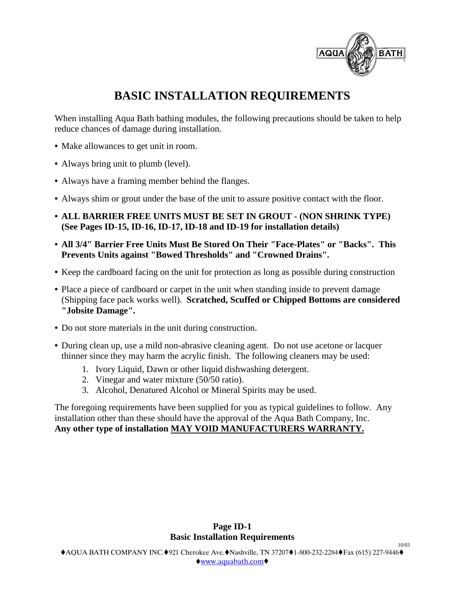

# **BASIC INSTALLATION REQUIREMENTS**

When installing Aqua Bath bathing modules, the following precautions should be taken to help reduce chances of damage during installation.

- **•** Make allowances to get unit in room.
- **•** Always bring unit to plumb (level).
- **•** Always have a framing member behind the flanges.
- Always shim or grout under the base of the unit to assure positive contact with the floor.
- **ALL BARRIER FREE UNITS MUST BE SET IN GROUT (NON SHRINK TYPE) (See Pages ID-15, ID-16, ID-17, ID-18 and ID-19 for installation details)**
- **All 3/4" Barrier Free Units Must Be Stored On Their "Face-Plates" or "Backs". This Prevents Units against "Bowed Thresholds" and "Crowned Drains".**
- **•** Keep the cardboard facing on the unit for protection as long as possible during construction
- Place a piece of cardboard or carpet in the unit when standing inside to prevent damage (Shipping face pack works well). **Scratched, Scuffed or Chipped Bottoms are considered "Jobsite Damage".**
- **•** Do not store materials in the unit during construction.
- **•** During clean up, use a mild non-abrasive cleaning agent. Do not use acetone or lacquer thinner since they may harm the acrylic finish. The following cleaners may be used:
	- 1. Ivory Liquid, Dawn or other liquid dishwashing detergent.
	- 2. Vinegar and water mixture (50/50 ratio).
	- 3. Alcohol, Denatured Alcohol or Mineral Spirits may be used.

The foregoing requirements have been supplied for you as typical guidelines to follow. Any installation other than these should have the approval of the Aqua Bath Company, Inc. **Any other type of installation MAY VOID MANUFACTURERS WARRANTY.**

## **Page ID-1 Basic Installation Requirements**

 $AQUA$  BATH COMPANY INC. $921$  Cherokee Ave. $A$ Nashville, TN 37207 $0-232-2284$  $Fax$  (615) 227-9446 $\bullet$ www.aquabath.com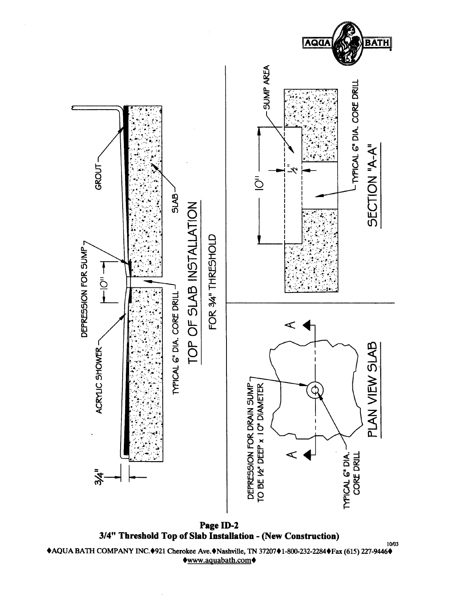

Page ID-2 3/4" Threshold Top of Slab Installation - (New Construction)

◆AQUA BATH COMPANY INC.◆921 Cherokee Ave.◆Nashville, TN 37207◆1-800-232-2284◆Fax (615) 227-9446◆ www.aquabath.com

10/03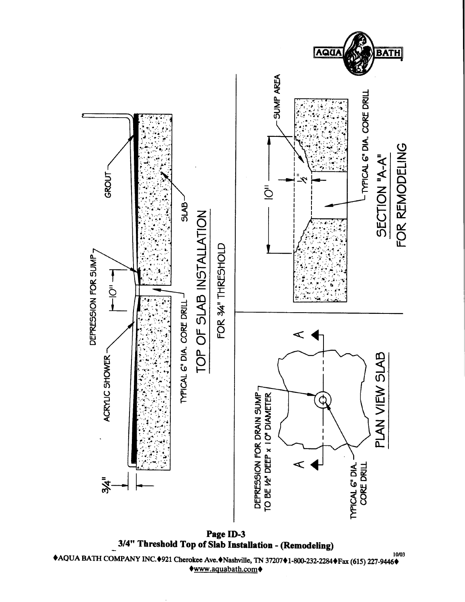

◆AQUA BATH COMPANY INC.◆921 Cherokee Ave.◆Nashville, TN 37207◆1-800-232-2284◆Fax (615) 227-9446◆ ◆www.aquabath.com◆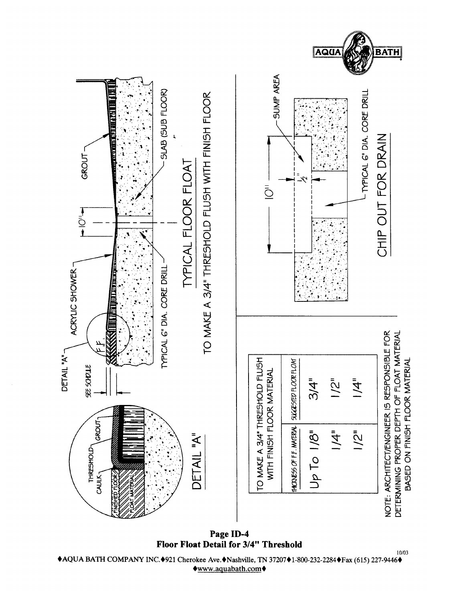

Page ID-4 Floor Float Detail for 3/4" Threshold

10/03 ◆AQUA BATH COMPANY INC.◆921 Cherokee Ave.◆Nashville, TN 37207◆1-800-232-2284◆Fax (615) 227-9446◆ www.aquabath.com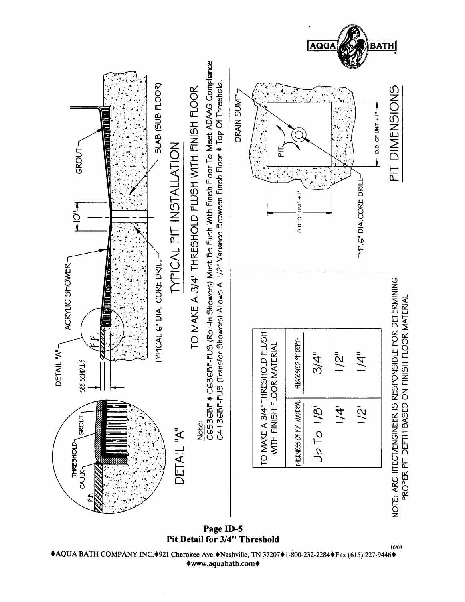

Page ID-5 Pit Detail for 3/4" Threshold

◆AQUA BATH COMPANY INC.◆921 Cherokee Ave.◆Nashville, TN 37207◆1-800-232-2284◆Fax (615) 227-9446◆ **◆www.aquabath.com◆** 

10/03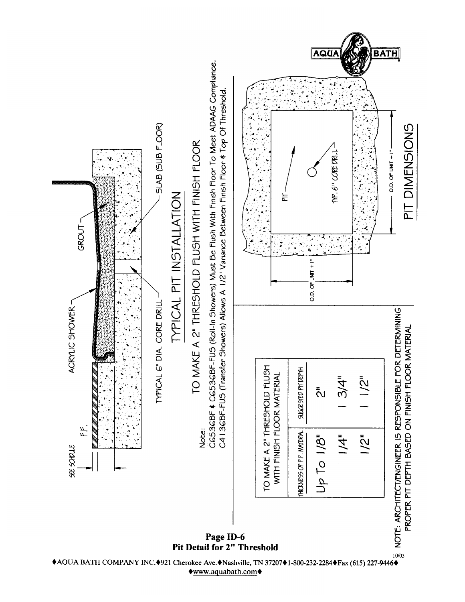

◆AQUA BATH COMPANY INC.◆921 Cherokee Ave.◆Nashville, TN 37207◆1-800-232-2284◆Fax (615) 227-9446◆ ♦www.aquabath.com♦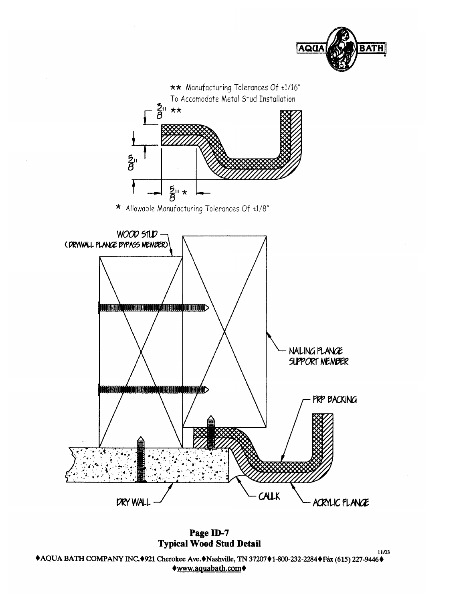

Page ID-7 **Typical Wood Stud Detail** 

11/03 ◆AQUA BATH COMPANY INC.◆921 Cherokee Ave.◆Nashville, TN 37207◆1-800-232-2284◆Fax (615) 227-9446◆ www.aquabath.com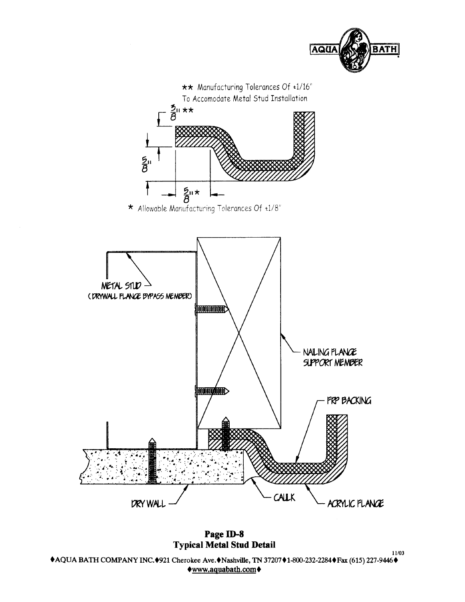

Page ID-8 **Typical Metal Stud Detail** 

11/03 ◆AQUA BATH COMPANY INC.◆921 Cherokee Ave.◆Nashville, TN 37207◆1-800-232-2284◆Fax (615) 227-9446◆  $www. a quadratic.com$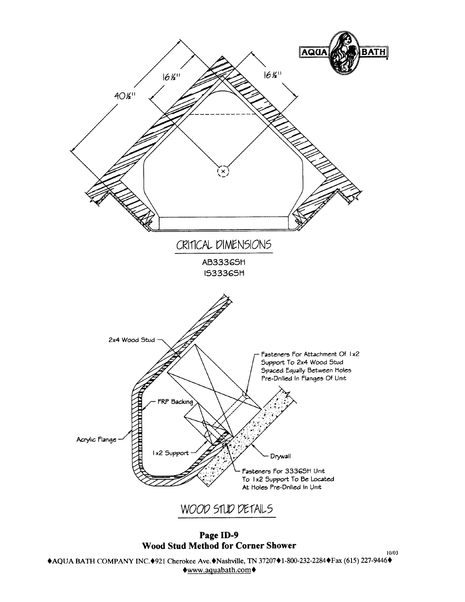

Page ID-9 **Wood Stud Method for Corner Shower** 

◆AQUA BATH COMPANY INC.◆921 Cherokee Ave.◆Nashville, TN 37207◆1-800-232-2284◆Fax (615) 227-9446◆  $\lozenge$ www.aquabath.com $\lozenge$ 

 $10/03$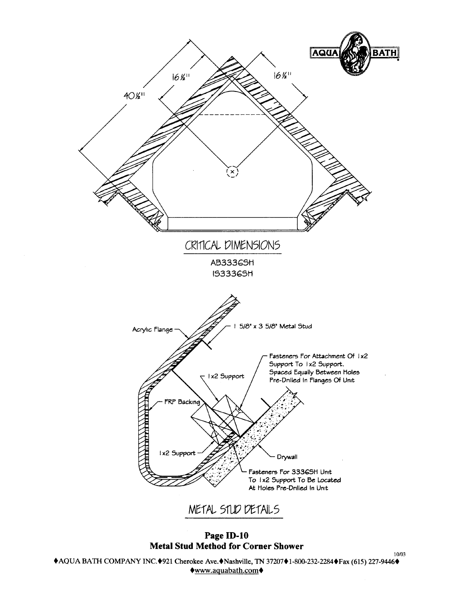

Page ID-10 **Metal Stud Method for Corner Shower** 

◆AQUA BATH COMPANY INC.◆921 Cherokee Ave.◆Nashville, TN 37207◆1-800-232-2284◆Fax (615) 227-9446◆ ◆www.aquabath.com◆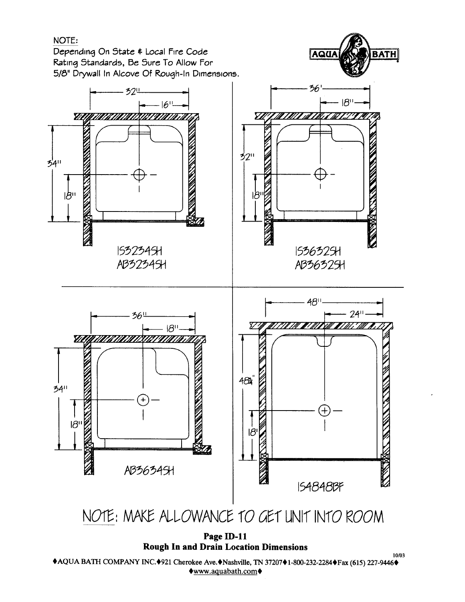# NOTE:

Depending On State & Local Fire Code Rating Standards, Be Sure To Allow For 5/8" Drywall In Alcove Of Rough-In Dimensions.



AQUA

**BATH** 

10/03

**Rough In and Drain Location Dimensions** 

◆AQUA BATH COMPANY INC.◆921 Cherokee Ave.◆Nashville, TN 37207◆1-800-232-2284◆Fax (615) 227-9446◆  $\lozenge$ www.aquabath.com $\lozenge$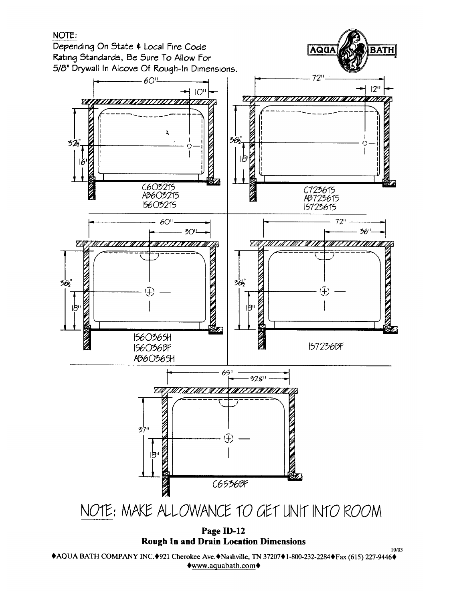

**Rough In and Drain Location Dimensions** 

◆AQUA BATH COMPANY INC.◆921 Cherokee Ave.◆Nashville, TN 37207◆1-800-232-2284◆Fax (615) 227-9446◆ ♦www.aquabath.com♦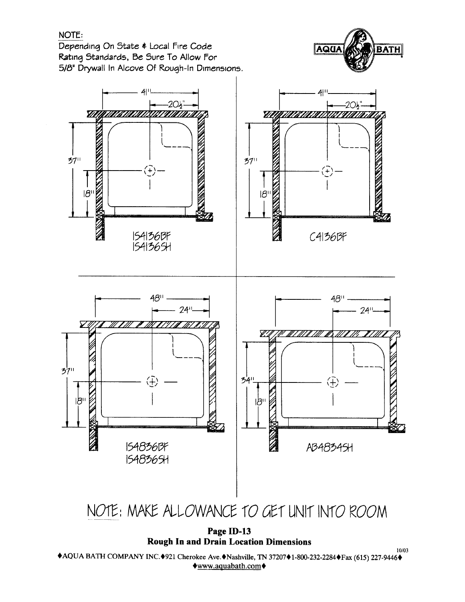# NOTE:

Depending On State & Local Fire Code Rating Standards, Be Sure To Allow For 5/8" Drywall In Alcove Of Rough-In Dimensions.





Page ID-13 **Rough In and Drain Location Dimensions** 

10/03 ◆AQUA BATH COMPANY INC.◆921 Cherokee Ave.◆Nashville, TN 37207◆1-800-232-2284◆Fax (615) 227-9446◆  $\lozenge$ www.aquabath.com $\lozenge$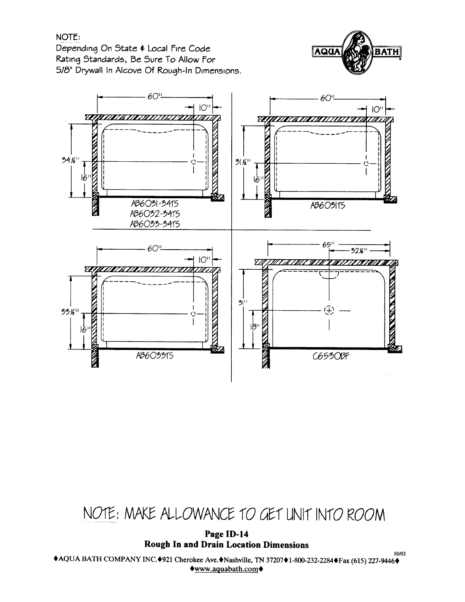# NOTE:

Depending On State & Local Fire Code Rating Standards, Be Sure To Allow For 5/8" Drywall In Alcove Of Rough-In Dimensions.





# NOTE: MAKE ALLOWANCE TO GET UNIT INTO ROOM

Page ID-14 **Rough In and Drain Location Dimensions** 

10/03 ◆AQUA BATH COMPANY INC.◆921 Cherokee Ave.◆Nashville, TN 37207◆1-800-232-2284◆Fax (615) 227-9446◆  $\bigtriangledown$ www.aquabath.com $\bigtriangledown$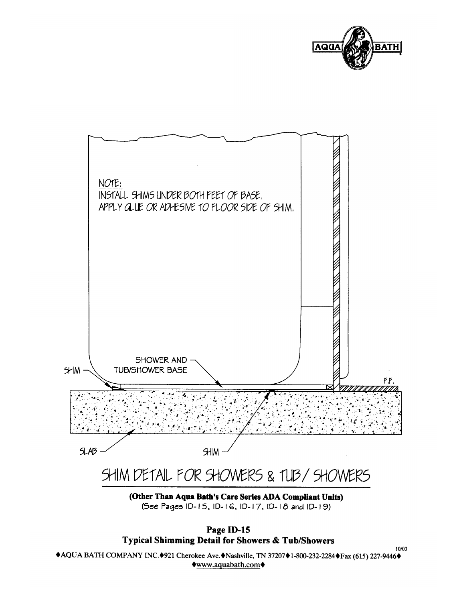



<sup>(</sup>Other Than Aqua Bath's Care Series ADA Compliant Units) (See Pages ID-15, ID-16, ID-17, ID-18 and ID-19)

Page ID-15 **Typical Shimming Detail for Showers & Tub/Showers** 

 $10/03$ ◆AQUA BATH COMPANY INC.◆921 Cherokee Ave.◆Nashville, TN 37207◆1-800-232-2284◆Fax (615) 227-9446◆ www.aquabath.com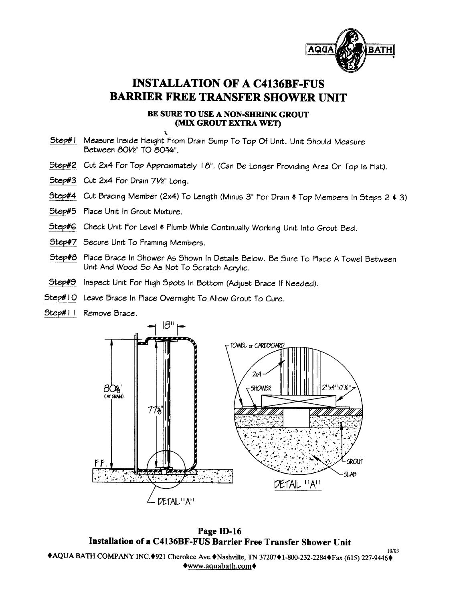

# **INSTALLATION OF A C4136BF-FUS BARRIER FREE TRANSFER SHOWER UNIT**

### BE SURE TO USE A NON-SHRINK GROUT (MIX GROUT EXTRA WET)

- Step#1 Measure Inside Height From Drain Sump To Top Of Unit. Unit Should Measure Between 801/2" TO 803/4".
- Step#2 Cut 2x4 For Top Approximately 18". (Can Be Longer Providing Area On Top Is Flat).
- Step#3 Cut 2x4 For Drain 71/2" Long.
- Step#4 Cut Bracing Member (2x4) To Length (Minus 3" For Drain \$ Top Members In Steps 2 \$ 3)
- Step#5 Place Unit in Grout Mixture.
- Step#6 Check Unit For Level & Plumb While Continually Working Unit Into Grout Bed.
- Step#7 Secure Unit To Framing Members.
- Step#8 Place Brace In Shower As Shown In Details Below. Be Sure To Place A Towel Between Unit And Wood So As Not To Scratch Acrylic.
- Step#9 Inspect Unit For High Spots In Bottom (Adjust Brace If Needed).
- Step#10 Leave Brace In Place Overnight To Allow Grout To Cure.
- Step#11 Remove Brace.



Page ID-16 Installation of a C4136BF-FUS Barrier Free Transfer Shower Unit

◆AQUA BATH COMPANY INC.◆921 Cherokee Ave.◆Nashville, TN 37207◆1-800-232-2284◆Fax (615) 227-9446◆  $\lozenge$ www.aquabath.com $\lozenge$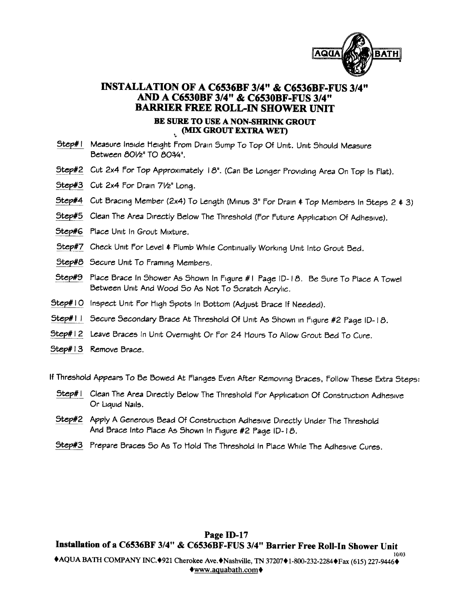

# INSTALLATION OF A C6536BF 3/4" & C6536BF-FUS 3/4" AND A C6530BF 3/4" & C6530BF-FUS 3/4" **BARRIER FREE ROLL-IN SHOWER UNIT**

## BE SURE TO USE A NON-SHRINK GROUT (MIX GROUT EXTRA WET)

- Step#1 Measure Inside Height From Drain Sump To Top Of Unit. Unit Should Measure Between 801/2" TO 803/4".
- Step#2 Cut 2x4 For Top Approximately 18". (Can Be Longer Providing Area On Top Is Flat).
- Step#3 Cut 2x4 For Drain 71/2" Long.
- Step#4 Cut Bracing Member (2x4) To Length (Minus 3" For Drain & Top Members In Steps 2 & 3)
- Step#5 Clean The Area Directly Below The Threshold (For Future Application Of Adhesive).
- Step#6 Place Unit In Grout Mixture.
- Step#7 Check Unit For Level & Plumb While Continually Working Unit Into Grout Bed.
- Step#8 Secure Unit To Framing Members.
- Step#9 Place Brace In Shower As Shown In Figure #1 Page ID-18. Be Sure To Place A Towel Between Unit And Wood So As Not To Scratch Acrylic.
- Step#10 Inspect Unit For High Spots In Bottom (Adjust Brace If Needed).
- Step#11 Secure Secondary Brace At Threshold Of Unit As Shown in Figure #2 Page ID-18.
- Step#12 Leave Braces In Unit Overnight Or For 24 Hours To Allow Grout Bed To Cure.
- Step#13 Remove Brace.

If Threshold Appears To Be Bowed At Flanges Even After Removing Braces, Follow These Extra Steps:

- Step#1 Clean The Area Directly Below The Threshold For Application Of Construction Adhesive Or Liquid Nails.
- Step#2 Apply A Generous Bead Of Construction Adhesive Directly Under The Threshold And Brace Into Place As Shown In Figure #2 Page ID-18.
- Step#3 Prepare Braces So As To Hold The Threshold in Place While The Adhesive Cures.

Page ID-17 Installation of a C6536BF 3/4" & C6536BF-FUS 3/4" Barrier Free Roll-In Shower Unit 10/03

◆AQUA BATH COMPANY INC.◆921 Cherokee Ave.◆Nashville, TN 37207◆1-800-232-2284◆Fax (615) 227-9446◆  $\lozenge$ www.aquabath.com $\lozenge$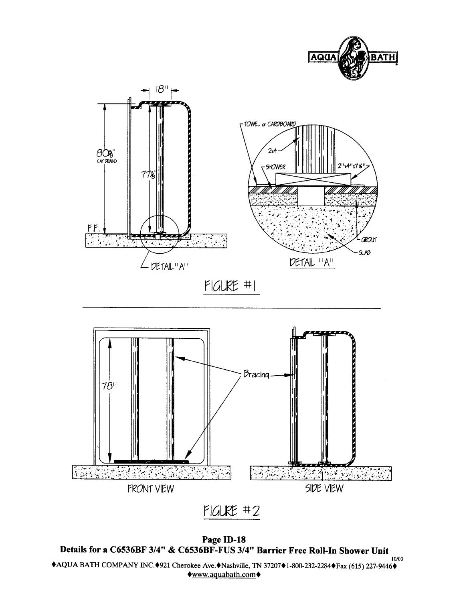



 $FIGURE + 2$ 

Page ID-18 Details for a C6536BF 3/4" & C6536BF-FUS 3/4" Barrier Free Roll-In Shower Unit 10/03 ◆AQUA BATH COMPANY INC.◆921 Cherokee Ave.◆Nashville, TN 37207◆1-800-232-2284◆Fax (615) 227-9446◆  $\lozenge$ www.aquabath.com $\lozenge$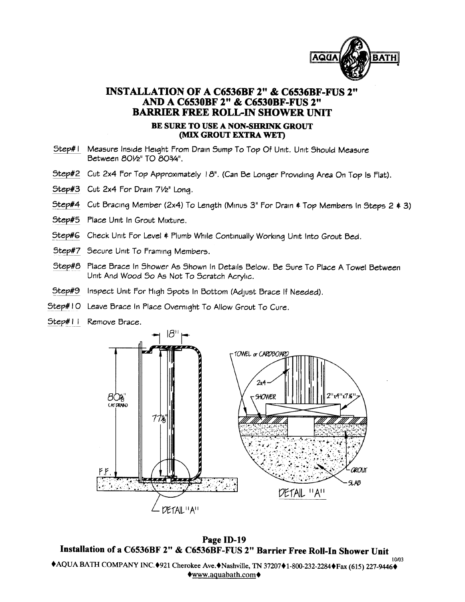

# INSTALLATION OF A C6536BF 2" & C6536BF-FUS 2" AND A C6530BF 2" & C6530BF-FUS 2" **BARRIER FREE ROLL-IN SHOWER UNIT** BE SURE TO USE A NON-SHRINK GROUT **MIX GROUT EXTRA WETY**

- Step#1 Measure Inside Height From Drain Sump To Top Of Unit. Unit Should Measure Between 801/2" TO 803/4".
- Step#2 Cut 2x4 For Top Approximately 18". (Can Be Longer Providing Area On Top Is Flat).
- Step#3 Cut 2x4 For Drain 71/2" Long.
- Step#4 Cut Bracing Member (2x4) To Length (Minus 3" For Drain \$ Top Members In Steps 2 \$ 3)
- Step#5 Place Unit In Grout Mixture.
- Step#6 Check Unit For Level & Plumb While Continually Working Unit Into Grout Bed.
- Step#7 Secure Unit To Framing Members.
- Step#8 Place Brace In Shower As Shown In Details Below. Be Sure To Place A Towel Between Unit And Wood So As Not To Scratch Acrylic.
- Step#9 Inspect Unit For High Spots In Bottom (Adjust Brace If Needed).
- Step#10 Leave Brace In Place Overnight To Allow Grout To Cure.
- Step#11 Remove Brace.



Page ID-19 Installation of a C6536BF 2" & C6536BF-FUS 2" Barrier Free Roll-In Shower Unit  $10/02$ ◆AQUA BATH COMPANY INC.◆921 Cherokee Ave.◆Nashville, TN 37207◆1-800-232-2284◆Fax (615) 227-9446◆  $\lozenge$ www.aquabath.com $\lozenge$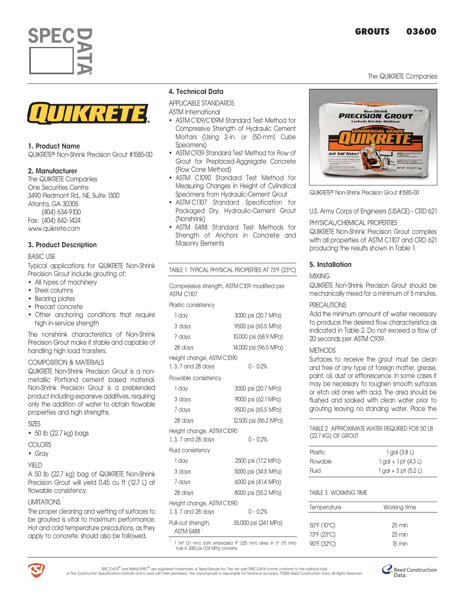The QUIKRETE Companies





#### 1. Product Name

QUIKRETEª Non-Shrink Precision Grout #1585-00

#### 2. Manufacturer

The QUIKRETE Companies One Securities Centre 3490 Piedmont Rd., NE, Suite 1300 Atlanta, GA 30305 (404) 634-9100 Fax: (404) 842-1424 www.quikrete.com

#### 3. Product Description

#### BASIC USE

Typical applications for QUIKRETE Non-Shrink Precision Grout include grouting of:

- All types of machinery
- Steel columns
- Bearing plates
- Precast concrete
- Other anchorina conditions that require high in-service strength

The nonshrink characteristics of Non-Shrink Precision Grout make it stable and capable of handling high load transfers.

#### COMPOSITION & MATERIALS

QUIKRETE Non-Shrink Precision Grout is a nonmetallic Portland cement based material. Non-Shrink Precision Grout is a preblended product including expansive additives, requiring only the addition of water to obtain flowable properties and high strengths.

SIZES

• 50 lb (22.7 kg) bags

#### COLORS

• Gray

#### YIELD

A 50 lb (22.7 kg) bag of QUIKRETE Non-Shrink Precision Grout will yield 0.45 cu ft (12.7 L) at flowable consistency.

#### LIMITATIONS

The proper cleaning and wetting of surfaces to be grouted is vital to maximum performance. Hot and cold temperature precautions, as they apply to concrete, should also be followed.

#### 4. Technical Data

APPLICABLE STANDARDS

- ASTM International
- ASTM C109/C109M Standard Test Method for Compressive Strength of Hydraulic Cement Mortars (Using 2-in. or [50-mm] Cube Specimens)
- ASTM C939 Standard Test Method for Flow of Grout for Preplaced-Aggregate Concrete (Flow Cone Method)
- ASTM C1090 Standard Test Method for Measuring Changes in Height of Cylindrical Specimens from Hydraulic-Cement Grout
- ASTM C1107 Standard Specification for Packaged Dry, Hydraulic-Cement Grout (Nonshrink)
- ASTM E488 Standard Test Methods for Strength of Anchors in Concrete and Masonry Elements

|                                                                   | TABLE 1 TYPICAL PHYSICAL PROPERTIES AT 73°F (23°C) |
|-------------------------------------------------------------------|----------------------------------------------------|
| Compressive strength, ASTM C109 modified per<br><b>ASTM C1107</b> |                                                    |
| Plastic consistency                                               |                                                    |
| 1 day                                                             | 3000 psi (20.7 MPa)                                |
| 3 days                                                            | 9500 psi (65.5 MPa)                                |
| 7 days                                                            | 10,000 psi (68.9 MPa)                              |
| 28 days                                                           | 14,000 psi (96.5 MPa)                              |
| Height change, ASTM C1090                                         |                                                    |
| 1, 3, 7 and 28 days                                               | $0 - 0.2%$                                         |
| Flowable consistency                                              |                                                    |
| 1 day                                                             | 3000 psi (20.7 MPa)                                |
| 3 days                                                            | 9000 psi (62.1 MPa)                                |
| 7 days                                                            | 9500 psi (65.5 MPa)                                |
| 28 days                                                           | 12,500 psi (86.2 MPa)                              |
| Height change, ASTM C1090                                         |                                                    |
| 1, 3, 7 and 28 days                                               | $0 - 0.2%$                                         |
| Fluid consistency                                                 |                                                    |
| 1 day                                                             | 2500 psi (17.2 MPa)                                |
| 3 days                                                            | 5000 psi (34.5 MPa)                                |
| 7 days                                                            | 6000 psi (41.4 MPa)                                |
| 28 days                                                           | 8000 psi (55.2 MPa)                                |
| Height change, ASTM C1090<br>1, 3, 7 and 28 days                  | $0 - 0.2%$                                         |
| Pull-out strength,<br>ASTM E488 <sup>1</sup>                      | 35,000 psi (241 MPa)                               |

 $1$  1 1/4" (31 mm) bolts embedded 9" (225 mm) deep in 3" (75 mm) hole in 2000 psi (13.8 MPa) concrete.



QUIKRETEª Non-Shrink Precision Grout #1585-00

U.S. Army Corps of Engineers (USACE) - CRD 621

#### PHYSICAL/CHEMICAL PROPERTIES

QUIKRETE Non-Shrink Precision Grout complies with all properties of ASTM C1107 and CRD 621 producing the results shown in Table 1.

#### 5. Installation

#### **MIXING**

QUIKRETE Non-Shrink Precision Grout should be mechanically mixed for a minimum of 5 minutes.

#### **PRECAUTIONS**

Add the minimum amount of water necessary to produce the desired flow characteristics as indicated in Table 2. Do not exceed a flow of 20 seconds per ASTM C939.

#### **METHODS**

Surfaces to receive the grout must be clean and free of any type of foreign matter, grease, paint, oil, dust or efflorescence. In some cases it may be necessary to roughen smooth surfaces or etch old ones with acid. The area should be flushed and soaked with clean water prior to grouting leaving no standing water. Place the

TABLE 2 APPROXIMATE WATER REQUIRED FOR 50 LB (22.7 KG) OF GROUT

| $1$ gal (3.8 L)            |
|----------------------------|
| $1$ gal + $1$ pt $(4.3 L)$ |
| $1$ gal + 3 pt (5.2 L)     |
|                            |

#### TABLE 3 WORKING TIME

| Temperature | Working time     |
|-------------|------------------|
|             |                  |
| 50°F (10°C) | $25 \text{ min}$ |
| 73°F (23°C) | $25 \text{ min}$ |
| 90°F (32°C) | 15 min           |
|             |                  |